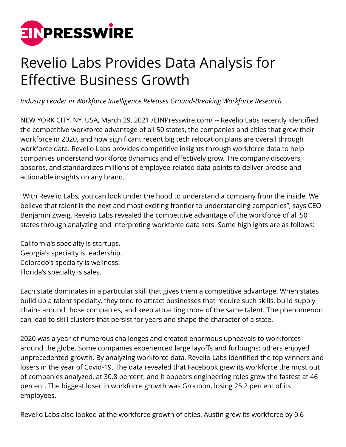

## Revelio Labs Provides Data Analysis for Effective Business Growth

*Industry Leader in Workforce Intelligence Releases Ground-Breaking Workforce Research*

NEW YORK CITY, NY, USA, March 29, 2021 [/EINPresswire.com](http://www.einpresswire.com)/ -- Revelio Labs recently identified the competitive workforce advantage of all 50 states, the companies and cities that grew their workforce in 2020, and how significant recent big tech relocation plans are overall through workforce data. Revelio Labs provides competitive insights through workforce data to help companies understand workforce dynamics and effectively grow. The company discovers, absorbs, and standardizes millions of employee-related data points to deliver precise and actionable insights on any brand.

"With Revelio Labs, you can look under the hood to understand a company from the inside. We believe that talent is the next and most exciting frontier to understanding companies", says CEO Benjamin Zweig. Revelio Labs revealed the competitive advantage of the workforce of all 50 states through analyzing and interpreting workforce data sets. Some highlights are as follows:

California's specialty is startups. Georgia's specialty is leadership. Colorado's specialty is wellness. Florida's specialty is sales.

Each state dominates in a particular skill that gives them a competitive advantage. When states build up a talent specialty, they tend to attract businesses that require such skills, build supply chains around those companies, and keep attracting more of the same talent. The phenomenon can lead to skill clusters that persist for years and shape the character of a state.

2020 was a year of numerous challenges and created enormous upheavals to workforces around the globe. Some companies experienced large layoffs and furloughs; others enjoyed unprecedented growth. By analyzing workforce data, Revelio Labs identified the top winners and losers in the year of Covid-19. The data revealed that Facebook grew its workforce the most out of companies analyzed, at 30.8 percent, and it appears engineering roles grew the fastest at 46 percent. The biggest loser in workforce growth was Groupon, losing 25.2 percent of its employees.

Revelio Labs also looked at the workforce growth of cities. Austin grew its workforce by 0.6